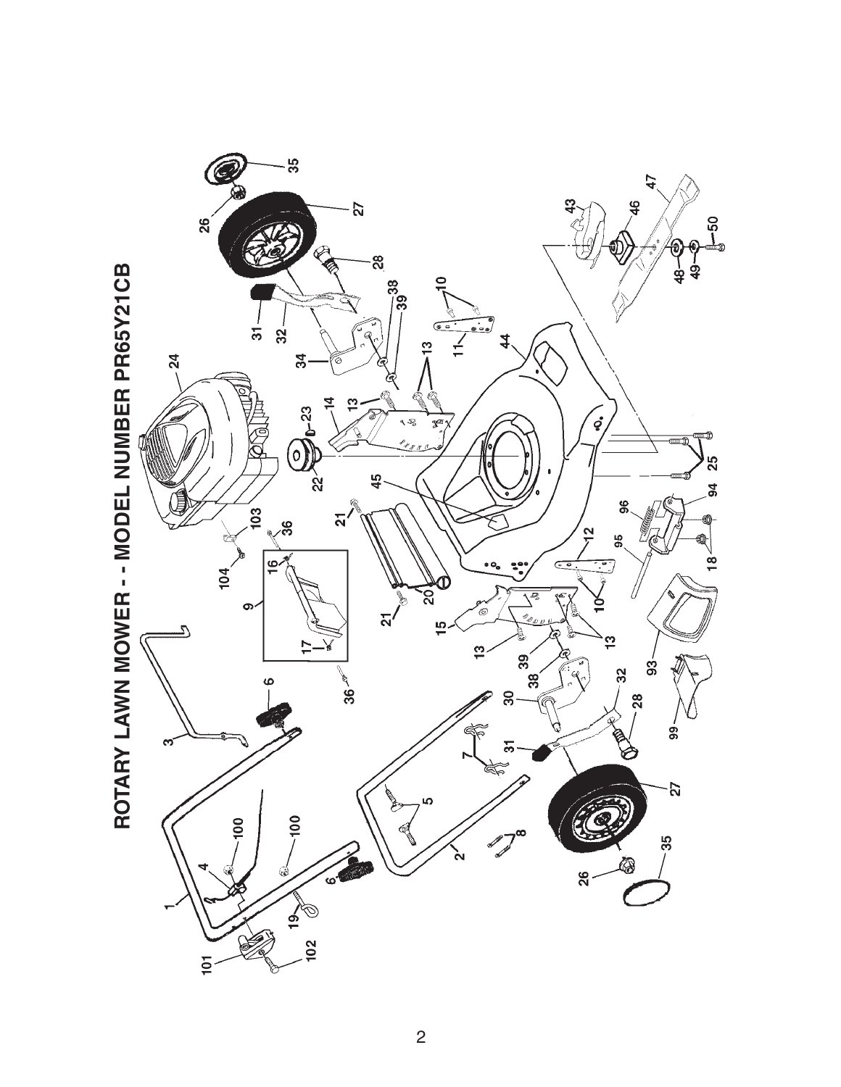

2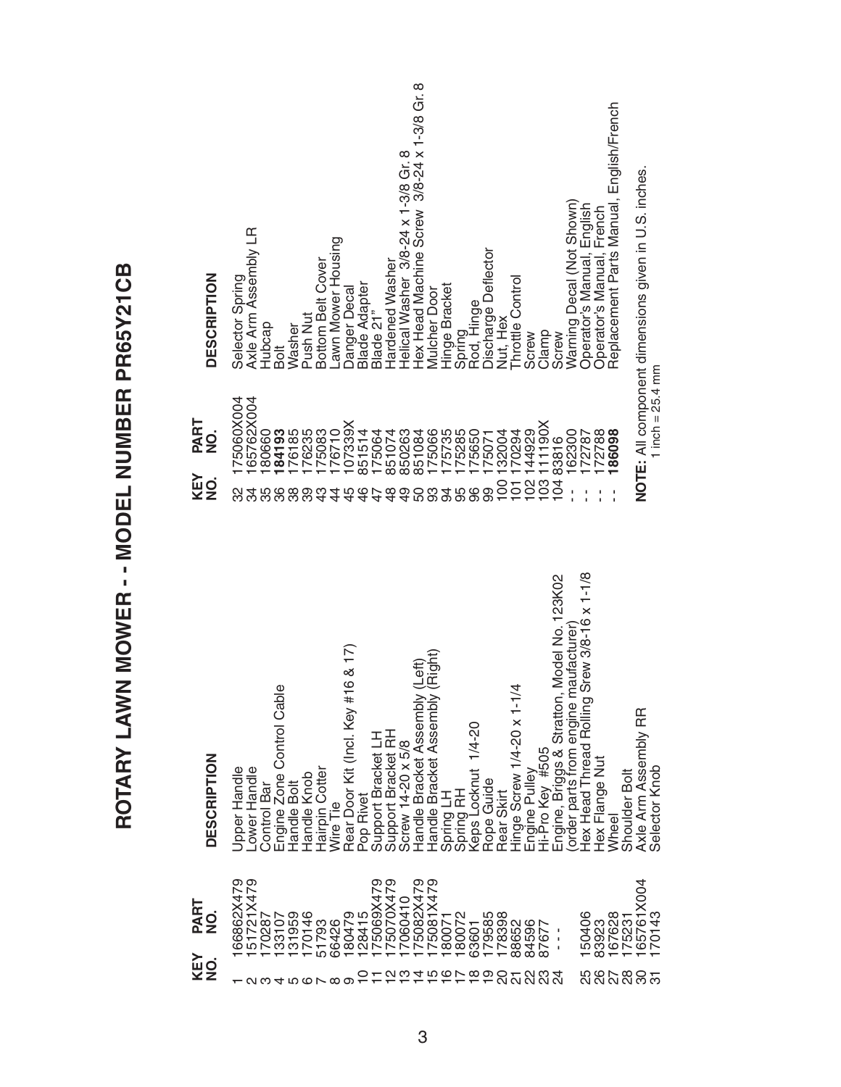| 151721X479<br>66862X479<br>180479<br>128415<br>175069X479<br>75070X479<br>175082X479<br>175081X479<br>167628<br>175231<br>165761X004 | Axle Arm Assembly LR<br>Lawn Mower Housing<br>Bottom Belt Cover<br><b>DESCRIPTION</b><br>Selector Spring<br>Danger Decal<br>Push Nut<br>Hubcap<br>Washer<br>Bolt<br>65762X004<br>75060X004<br>PART<br>107339X<br>176710<br>184193<br>176185<br>176235<br>175083<br>180660<br>$\frac{0}{2}$<br>KEY<br>$\frac{1}{2}$<br>ನೆ<br>35<br>38<br>89<br>43<br>4<br>45<br>္က<br>& 17)<br>$\circ$<br>Engine Zone Control Cable<br>Rear Door Kit (Incl. Key #1<br><b>DESCRIPTION</b><br>Jpper Handle<br>-ower Handle<br>Hairpin Cotter<br>Handle Knob<br><b>Control Bar</b><br>Handle Bolt<br>Wire Tie | Helical Washer 3/8-24 x 1-3/8 Gr. 8<br>Hex Head Machine Screw 3/8-24 x 1-3/8 Gr. 8<br>Discharge Deflector<br>Hardened Washer<br>Throttle Control<br>Blade Adapter<br>Blade 21"<br>Hinge Bracket<br><b>Mulcher Door</b><br>Spring<br>Rod, Hinge<br>Nut, Hex<br>Screw<br>175066<br>175735<br>175285<br>175650<br>851514<br>850263<br>851084<br>144929<br>175064<br>851074<br>132004<br>170294<br>175071<br>102<br>$\overline{5}$<br>$\overline{00}$<br>$\frac{8}{4}$<br>$\overline{9}$<br>$\frac{6}{5}$<br>47<br>0<br>96<br>99<br>ഥ<br>ပ<br>တ<br>$\frac{\left( \text{Left} \right)}{\left( \text{Right} \right)}$<br>Hinge Screw 1/4-20 x 1-1/4<br>Handle Bracket Assembly<br>Handle Bracket Assembly<br>$1/4 - 20$<br>Support Bracket LH<br>Support Bracket RH<br>Screw 14-20 x 5/8<br>Spring LH<br>Spring RH<br>Keps Locknut<br>Rope Guide<br>Rear Skirt<br>Pop Rivet | Replacement Parts Manual, English/French<br>NOTE: All component dimensions given in U.S. inches<br>Warning Decal (Not Shown)<br>English<br>French<br>Operator's Manual,<br>Operator's Manual,<br>Clamp<br>Screw<br>1 inch = $25.4 \text{ mm}$<br>111190X<br>62300<br>72788<br>86098<br>172787<br>83816<br>103<br>104<br>Head Thread Rolling Srew 3/8-16 x 1-1/8<br>Model No. 123K02<br>Engine, Briggs & Stratton, Model No.<br>(order parts from engine maufacturer)<br>Axle Arm Assembly RR<br>Engine Pulley<br>Hi-Pro Key #505<br>Hex Flange Nut<br>Selector Knob<br>Shoulder Bolt<br>Wheel |
|--------------------------------------------------------------------------------------------------------------------------------------|-------------------------------------------------------------------------------------------------------------------------------------------------------------------------------------------------------------------------------------------------------------------------------------------------------------------------------------------------------------------------------------------------------------------------------------------------------------------------------------------------------------------------------------------------------------------------------------------|-----------------------------------------------------------------------------------------------------------------------------------------------------------------------------------------------------------------------------------------------------------------------------------------------------------------------------------------------------------------------------------------------------------------------------------------------------------------------------------------------------------------------------------------------------------------------------------------------------------------------------------------------------------------------------------------------------------------------------------------------------------------------------------------------------------------------------------------------------------------------|-----------------------------------------------------------------------------------------------------------------------------------------------------------------------------------------------------------------------------------------------------------------------------------------------------------------------------------------------------------------------------------------------------------------------------------------------------------------------------------------------------------------------------------------------------------------------------------------------|
|--------------------------------------------------------------------------------------------------------------------------------------|-------------------------------------------------------------------------------------------------------------------------------------------------------------------------------------------------------------------------------------------------------------------------------------------------------------------------------------------------------------------------------------------------------------------------------------------------------------------------------------------------------------------------------------------------------------------------------------------|-----------------------------------------------------------------------------------------------------------------------------------------------------------------------------------------------------------------------------------------------------------------------------------------------------------------------------------------------------------------------------------------------------------------------------------------------------------------------------------------------------------------------------------------------------------------------------------------------------------------------------------------------------------------------------------------------------------------------------------------------------------------------------------------------------------------------------------------------------------------------|-----------------------------------------------------------------------------------------------------------------------------------------------------------------------------------------------------------------------------------------------------------------------------------------------------------------------------------------------------------------------------------------------------------------------------------------------------------------------------------------------------------------------------------------------------------------------------------------------|

## ROTARY LAWN MOWER -- MODEL NUMBER PR65Y21CB **ROTARY LAWN MOWER - - MODEL NUMBER PR65Y21CB**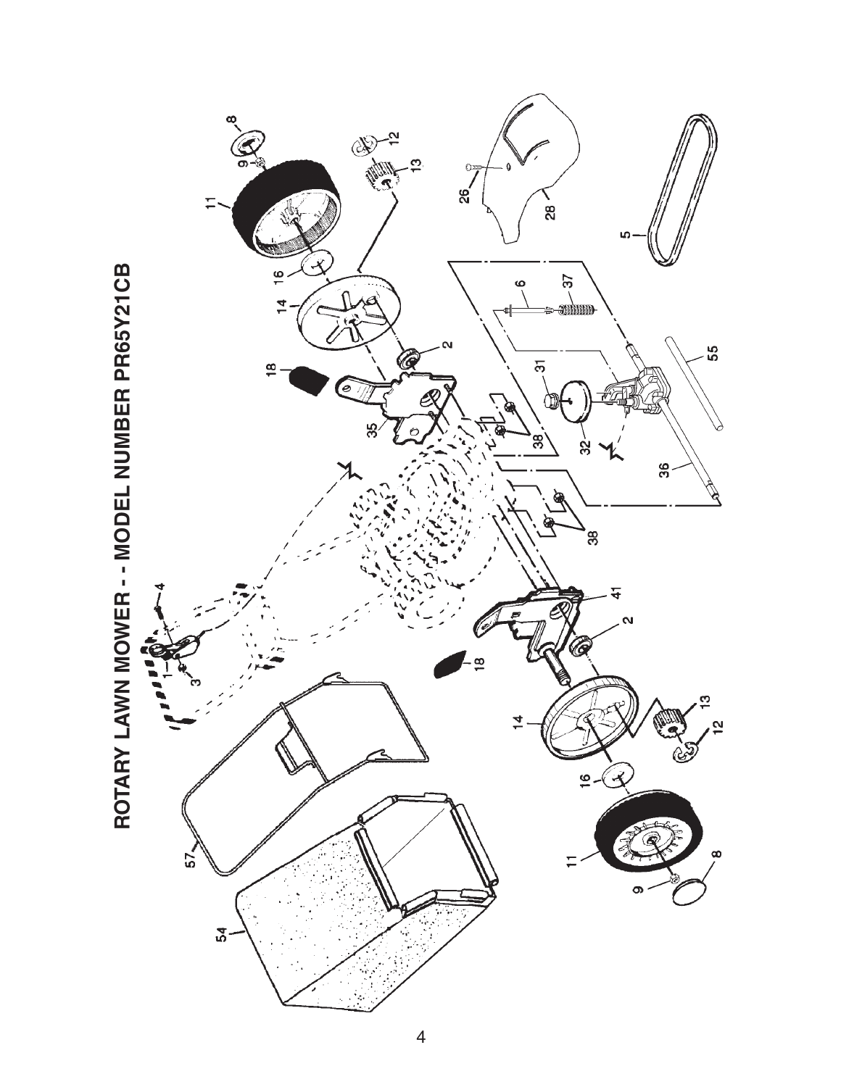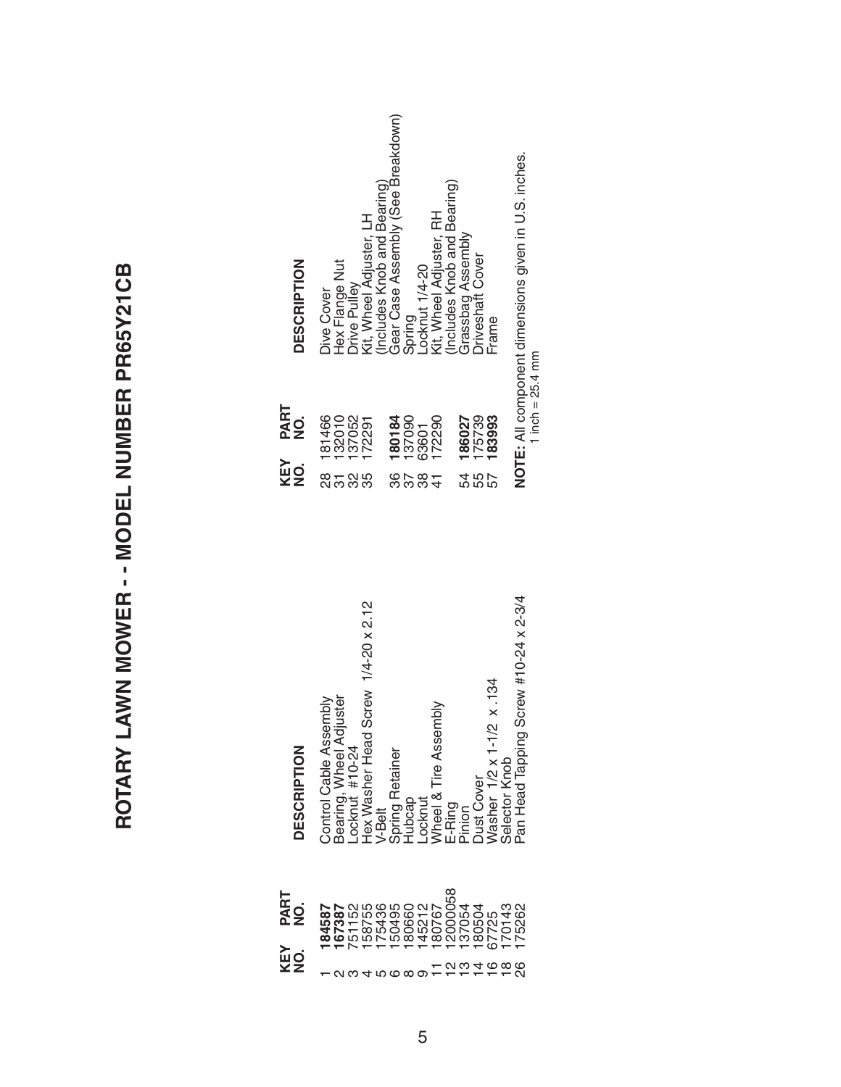ROTARY LAWN MOWER -- MODEL NUMBER PR65Y21CB **ROTARY LAWN MOWER - - MODEL NUMBER PR65Y21CB**

|       | <b>PART<br/>NO.</b><br><b>KEY</b><br>NO.                                   | <b>DESCRIPTION</b>                         | <b>XEY</b><br>NO. | <b>PART<br/>NO.</b>        | ≏                    |
|-------|----------------------------------------------------------------------------|--------------------------------------------|-------------------|----------------------------|----------------------|
|       | 184587                                                                     | Control Cable Assembly                     |                   | 181466                     |                      |
|       |                                                                            |                                            |                   |                            |                      |
|       |                                                                            | Bearing, Wheel Adjuster<br>Locknut #10-24  | ន<br>កំពូង<br>ស   | 132010<br>137052<br>172291 |                      |
|       |                                                                            | Hex Washer Head Screw 1/4-20 x 2.12        |                   |                            |                      |
|       |                                                                            | V-Belt                                     |                   |                            |                      |
|       | <b>167387</b><br>75115878860215<br>7587888602167<br>758868802167<br>180767 | Spring Retainer                            |                   |                            | <u>DIUAFQWRAFQUF</u> |
|       |                                                                            | iubcap                                     |                   | 180184<br>137090           |                      |
|       |                                                                            | Locknut                                    | 9784<br>898       |                            |                      |
|       |                                                                            | Wheel & Tire Assembly                      |                   | 63601<br>172290            |                      |
|       | 2000058                                                                    | E-Ring                                     |                   |                            |                      |
|       |                                                                            | nion                                       |                   |                            |                      |
|       |                                                                            | <b>Just Cover</b>                          | ռ<br>4 ռ<br>4     | 186027<br>175739<br>183993 |                      |
|       |                                                                            |                                            |                   |                            |                      |
| 77988 | 137054<br>180504<br>170143<br>175262<br>175262                             | Washer 1/2 x 1-1/2 x .134<br>Selector Knob |                   |                            |                      |
|       |                                                                            | Pan Head Tapping Screw #10-24 x 2-3/4      |                   | NOTE: All component d      |                      |

| <b>DESCRIPTION</b>  | Hex Flange Nut<br><b>Dive Cover</b> | <b>Drive Pulley</b> | Includes Knob and Bearing)<br>Kit, Wheel Adjuster, LH | Gear Case Assembly (See Breakdown) | Spring         | -ocknut 1/4-20 | Kit, Wheel Adjuster, RH | Includes Knob and Bearing) | Grassbag Assembly | <b>Driveshaft Cover</b> | Frame  |  |
|---------------------|-------------------------------------|---------------------|-------------------------------------------------------|------------------------------------|----------------|----------------|-------------------------|----------------------------|-------------------|-------------------------|--------|--|
| <b>PART<br/>NO.</b> | 181466<br>132010                    | 137052              | 172291                                                | 180184                             | 137090         | 63601          | 172290                  |                            | 186027            | 175739                  | 183993 |  |
| KEY<br>MO           |                                     | 585                 |                                                       | 86                                 | $\frac{8}{38}$ |                |                         |                            |                   | <b>485</b><br>485       |        |  |

NOTE: All component dimensions given in U.S. inches.<br>1 inch = 25.4 mm **NOTE:** All component dimensions given in U.S. inches. 1 inch  $= 25.4$  mm